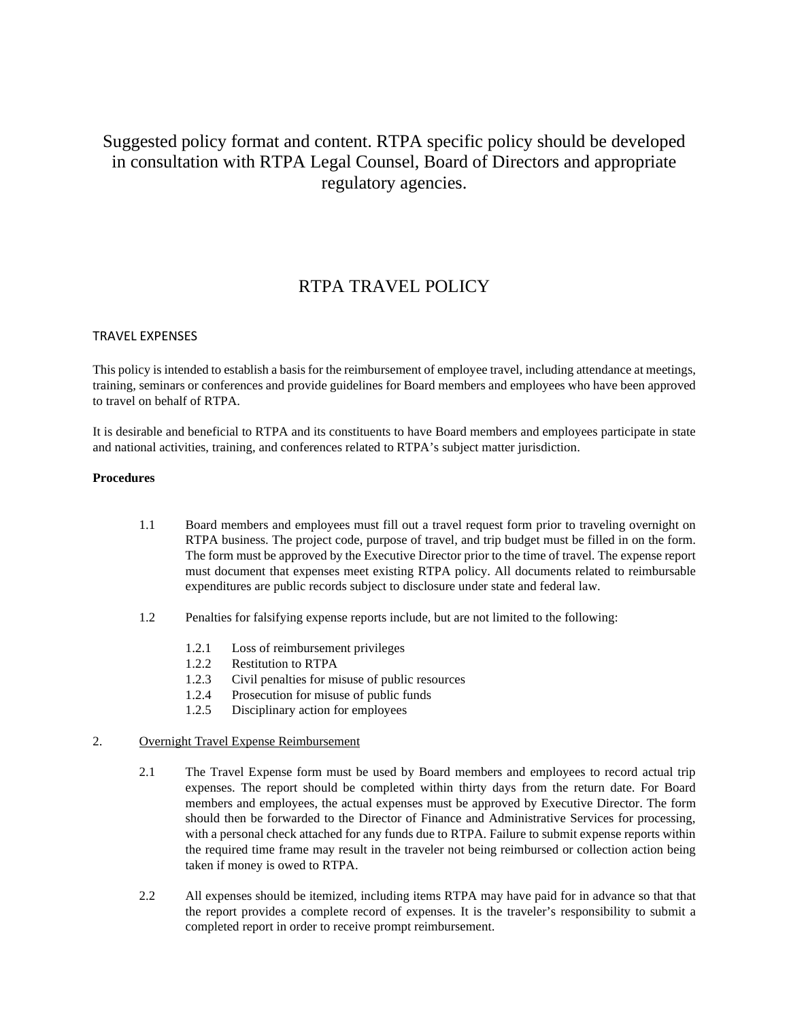# Suggested policy format and content. RTPA specific policy should be developed in consultation with RTPA Legal Counsel, Board of Directors and appropriate regulatory agencies.

## RTPA TRAVEL POLICY

### TRAVEL EXPENSES

This policy is intended to establish a basis for the reimbursement of employee travel, including attendance at meetings, training, seminars or conferences and provide guidelines for Board members and employees who have been approved to travel on behalf of RTPA.

It is desirable and beneficial to RTPA and its constituents to have Board members and employees participate in state and national activities, training, and conferences related to RTPA's subject matter jurisdiction.

#### **Procedures**

- 1.1 Board members and employees must fill out a travel request form prior to traveling overnight on RTPA business. The project code, purpose of travel, and trip budget must be filled in on the form. The form must be approved by the Executive Director prior to the time of travel. The expense report must document that expenses meet existing RTPA policy. All documents related to reimbursable expenditures are public records subject to disclosure under state and federal law.
- 1.2 Penalties for falsifying expense reports include, but are not limited to the following:
	- 1.2.1 Loss of reimbursement privileges
	- 1.2.2 Restitution to RTPA
	- 1.2.3 Civil penalties for misuse of public resources
	- 1.2.4 Prosecution for misuse of public funds
	- 1.2.5 Disciplinary action for employees

### 2. Overnight Travel Expense Reimbursement

- 2.1 The Travel Expense form must be used by Board members and employees to record actual trip expenses. The report should be completed within thirty days from the return date. For Board members and employees, the actual expenses must be approved by Executive Director. The form should then be forwarded to the Director of Finance and Administrative Services for processing, with a personal check attached for any funds due to RTPA. Failure to submit expense reports within the required time frame may result in the traveler not being reimbursed or collection action being taken if money is owed to RTPA.
- 2.2 All expenses should be itemized, including items RTPA may have paid for in advance so that that the report provides a complete record of expenses. It is the traveler's responsibility to submit a completed report in order to receive prompt reimbursement.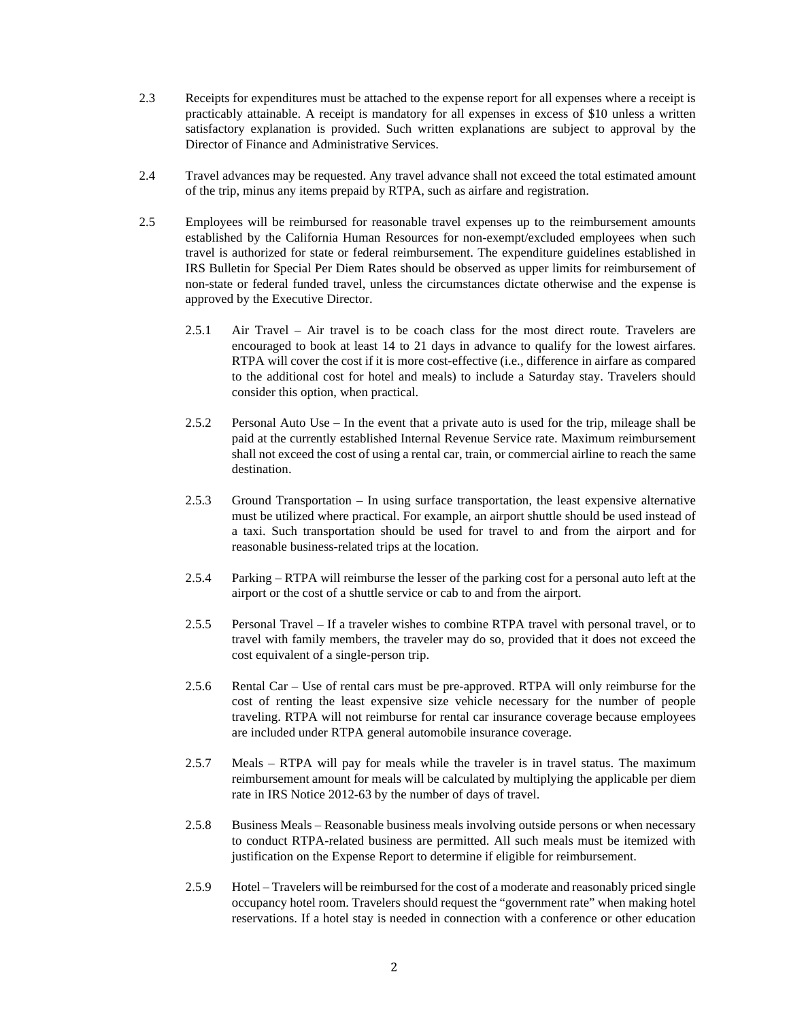- 2.3 Receipts for expenditures must be attached to the expense report for all expenses where a receipt is practicably attainable. A receipt is mandatory for all expenses in excess of \$10 unless a written satisfactory explanation is provided. Such written explanations are subject to approval by the Director of Finance and Administrative Services.
- 2.4 Travel advances may be requested. Any travel advance shall not exceed the total estimated amount of the trip, minus any items prepaid by RTPA, such as airfare and registration.
- 2.5 Employees will be reimbursed for reasonable travel expenses up to the reimbursement amounts established by the California Human Resources for non-exempt/excluded employees when such travel is authorized for state or federal reimbursement. The expenditure guidelines established in IRS Bulletin for Special Per Diem Rates should be observed as upper limits for reimbursement of non-state or federal funded travel, unless the circumstances dictate otherwise and the expense is approved by the Executive Director.
	- 2.5.1 Air Travel Air travel is to be coach class for the most direct route. Travelers are encouraged to book at least 14 to 21 days in advance to qualify for the lowest airfares. RTPA will cover the cost if it is more cost-effective (i.e., difference in airfare as compared to the additional cost for hotel and meals) to include a Saturday stay. Travelers should consider this option, when practical.
	- 2.5.2 Personal Auto Use In the event that a private auto is used for the trip, mileage shall be paid at the currently established Internal Revenue Service rate. Maximum reimbursement shall not exceed the cost of using a rental car, train, or commercial airline to reach the same destination.
	- 2.5.3 Ground Transportation In using surface transportation, the least expensive alternative must be utilized where practical. For example, an airport shuttle should be used instead of a taxi. Such transportation should be used for travel to and from the airport and for reasonable business-related trips at the location.
	- 2.5.4 Parking RTPA will reimburse the lesser of the parking cost for a personal auto left at the airport or the cost of a shuttle service or cab to and from the airport.
	- 2.5.5 Personal Travel If a traveler wishes to combine RTPA travel with personal travel, or to travel with family members, the traveler may do so, provided that it does not exceed the cost equivalent of a single-person trip.
	- 2.5.6 Rental Car Use of rental cars must be pre-approved. RTPA will only reimburse for the cost of renting the least expensive size vehicle necessary for the number of people traveling. RTPA will not reimburse for rental car insurance coverage because employees are included under RTPA general automobile insurance coverage.
	- 2.5.7 Meals RTPA will pay for meals while the traveler is in travel status. The maximum reimbursement amount for meals will be calculated by multiplying the applicable per diem rate in IRS Notice 2012-63 by the number of days of travel.
	- 2.5.8 Business Meals Reasonable business meals involving outside persons or when necessary to conduct RTPA-related business are permitted. All such meals must be itemized with justification on the Expense Report to determine if eligible for reimbursement.
	- 2.5.9 Hotel Travelers will be reimbursed for the cost of a moderate and reasonably priced single occupancy hotel room. Travelers should request the "government rate" when making hotel reservations. If a hotel stay is needed in connection with a conference or other education